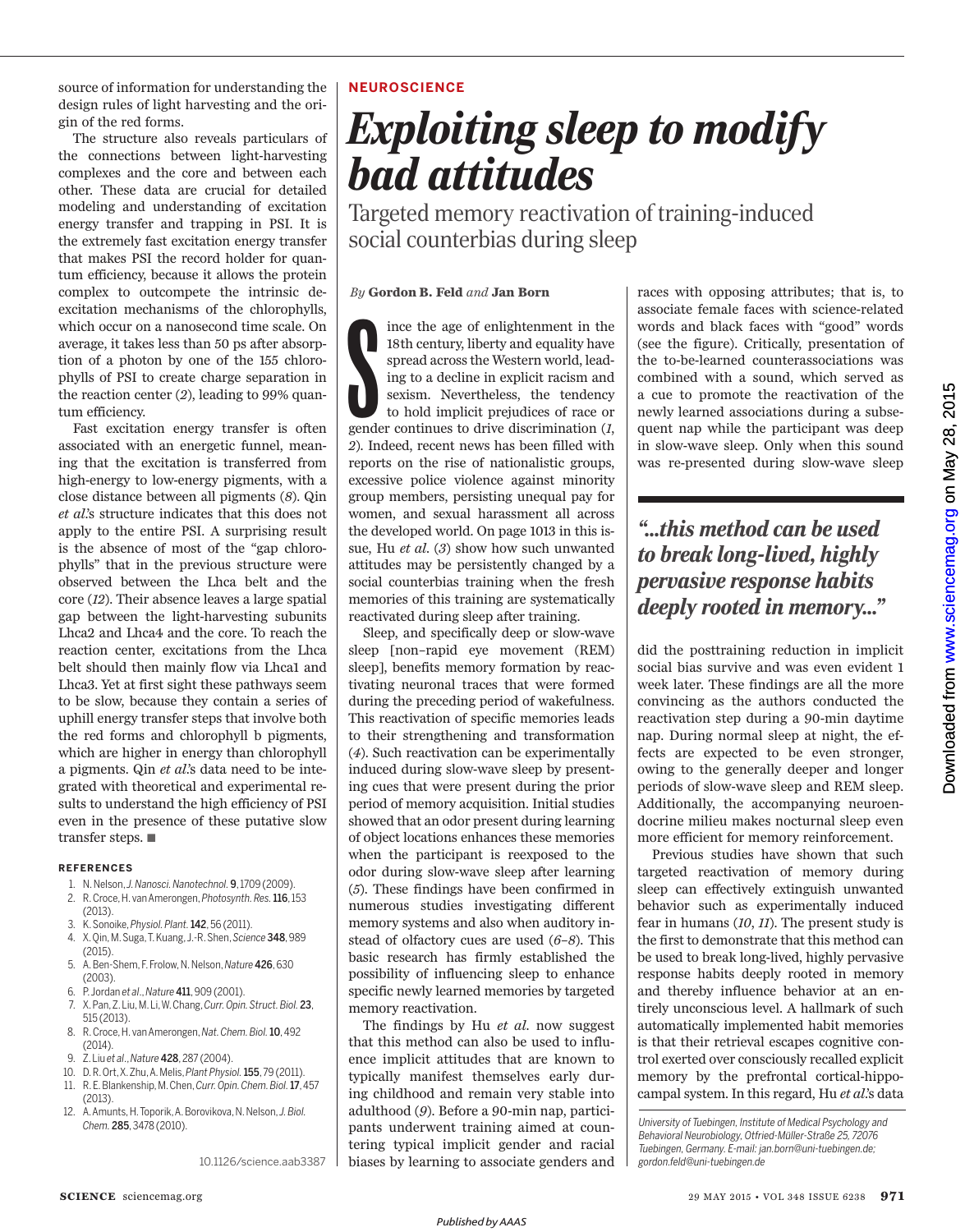source of information for understanding the design rules of light harvesting and the origin of the red forms.

The structure also reveals particulars of the connections between light-harvesting complexes and the core and between each other. These data are crucial for detailed modeling and understanding of excitation energy transfer and trapping in PSI. It is the extremely fast excitation energy transfer that makes PSI the record holder for quantum efficiency, because it allows the protein complex to outcompete the intrinsic deexcitation mechanisms of the chlorophylls, which occur on a nanosecond time scale. On average, it takes less than 50 ps after absorption of a photon by one of the 155 chlorophylls of PSI to create charge separation in the reaction center (*2*), leading to 99% quantum efficiency.

Fast excitation energy transfer is often associated with an energetic funnel, meaning that the excitation is transferred from high-energy to low-energy pigments, with a close distance between all pigments (*8*). Qin *et al*.'s structure indicates that this does not apply to the entire PSI. A surprising result is the absence of most of the "gap chlorophylls" that in the previous structure were observed between the Lhca belt and the core (*12*). Their absence leaves a large spatial gap between the light-harvesting subunits Lhca2 and Lhca4 and the core. To reach the reaction center, excitations from the Lhca belt should then mainly flow via Lhca1 and Lhca3. Yet at first sight these pathways seem to be slow, because they contain a series of uphill energy transfer steps that involve both the red forms and chlorophyll b pigments, which are higher in energy than chlorophyll a pigments. Qin *et al*.'s data need to be integrated with theoretical and experimental results to understand the high efficiency of PSI even in the presence of these putative slow transfer steps. ■

### **REFERENCES**

- 1. N. Nelson, *J. Nanosci. Nanotechnol.* 9,1709 (2009).
- 2. R.Croce,H. van Amerongen,*Photosynth. Res.*116, 153 (2013).
- 3. K. Sonoike,*Physiol. Plant.*142, 56 (2011).
- 4. X.Qin,M. Suga,T. Kuang,J.-R.Shen,*Science* 348, 989 (2015).
- 5. A.Ben-Shem, F.Frolow, N.Nelson,*Nature* 426, 630 (2003).
- 6. P. Jordan *et al*., *Nature* 411,909 (2001).
- 7. X.Pan,Z.Liu,M. Li,W. Chang,*Curr. Opin.Struct. Biol.* 23, 515 (2013).
- 8. R.Croce,H. van Amerongen,*Nat. Chem.Biol.*10, 492 (2014).
- 9. Z. Liu *et al*., *Nature* 428,287 (2004).
- 10. D.R. Ort,X.Zhu,A. Melis,*Plant Physiol.*155, 79 (2011). 11. R.E.Blankenship,M. Chen,*Curr.Opin. Chem. Biol.*17, 457 (2013).
- 12. A.Amunts, H.Toporik,A.Borovikova, N.Nelson, *J. Biol. Chem.* 285, 3478 (2010).

10.1126/science.aab3387

## **NEUROSCIENCE**

# *Exploiting sleep to modify bad attitudes*

Targeted memory reactivation of training-induced social counterbias during sleep

*By* **Gordon B. Feld** *and* **Jan Born**

ince the age of enlightenment in the 18th century, liberty and equality have spread across the Western world, leading to a decline in explicit racism and sexism. Nevertheless, the tendency to hold implicit prejudices of ra 18th century, liberty and equality have spread across the Western world, leading to a decline in explicit racism and sexism. Nevertheless, the tendency to hold implicit prejudices of race or *2*). Indeed, recent news has been filled with reports on the rise of nationalistic groups, excessive police violence against minority group members, persisting unequal pay for women, and sexual harassment all across the developed world. On page 1013 in this issue, Hu et al. (3) show how such unwanted attitudes may be persistently changed by a social counterbias training when the fresh memories of this training are systematically reactivated during sleep after training.

Sleep, and specifically deep or slow-wave sleep [non–rapid eye movement (REM) sleep], benefits memory formation by reactivating neuronal traces that were formed during the preceding period of wakefulness. This reactivation of specific memories leads to their strengthening and transformation ( *4*). Such reactivation can be experimentally induced during slow-wave sleep by presenting cues that were present during the prior period of memory acquisition. Initial studies showed that an odor present during learning of object locations enhances these memories when the participant is reexposed to the odor during slow-wave sleep after learning ( *5*). These findings have been confirmed in numerous studies investigating different memory systems and also when auditory instead of olfactory cues are used  $(6-8)$ . This basic research has firmly established the possibility of influencing sleep to enhance specific newly learned memories by targeted memory reactivation.

The findings by Hu *et al*. now suggest that this method can also be used to influence implicit attitudes that are known to typically manifest themselves early during childhood and remain very stable into adulthood (*9*). Before a 90-min nap, participants underwent training aimed at countering typical implicit gender and racial biases by learning to associate genders and races with opposing attributes; that is, to associate female faces with science-related words and black faces with "good" words (see the figure). Critically, presentation of the to-be-learned counterassociations was combined with a sound, which served as a cue to promote the reactivation of the newly learned associations during a subsequent nap while the participant was deep in slow-wave sleep. Only when this sound was re-presented during slow-wave sleep

# *"...this method can be used to break long-lived, highly pervasive response habits deeply rooted in memory..."*

did the posttraining reduction in implicit social bias survive and was even evident 1 week later. These findings are all the more convincing as the authors conducted the reactivation step during a 90-min daytime nap. During normal sleep at night, the effects are expected to be even stronger, owing to the generally deeper and longer periods of slow-wave sleep and REM sleep. Additionally, the accompanying neuroendocrine milieu makes nocturnal sleep even more efficient for memory reinforcement.

Previous studies have shown that such targeted reactivation of memory during sleep can effectively extinguish unwanted behavior such as experimentally induced fear in humans (*10*, *11*). The present study is the first to demonstrate that this method can be used to break long-lived, highly pervasive response habits deeply rooted in memory and thereby influence behavior at an entirely unconscious level. A hallmark of such automatically implemented habit memories is that their retrieval escapes cognitive control exerted over consciously recalled explicit memory by the prefrontal cortical-hippocampal system. In this regard, Hu *et al*.'s data

*University of Tuebingen, Institute of Medical Psychology and Behavioral Neurobiology, Otfried-Müller-Straße 25, 72076 Tuebingen, Germany. E-mail: jan.born@uni-tuebingen.de; gordon.feld@uni-tuebingen.de*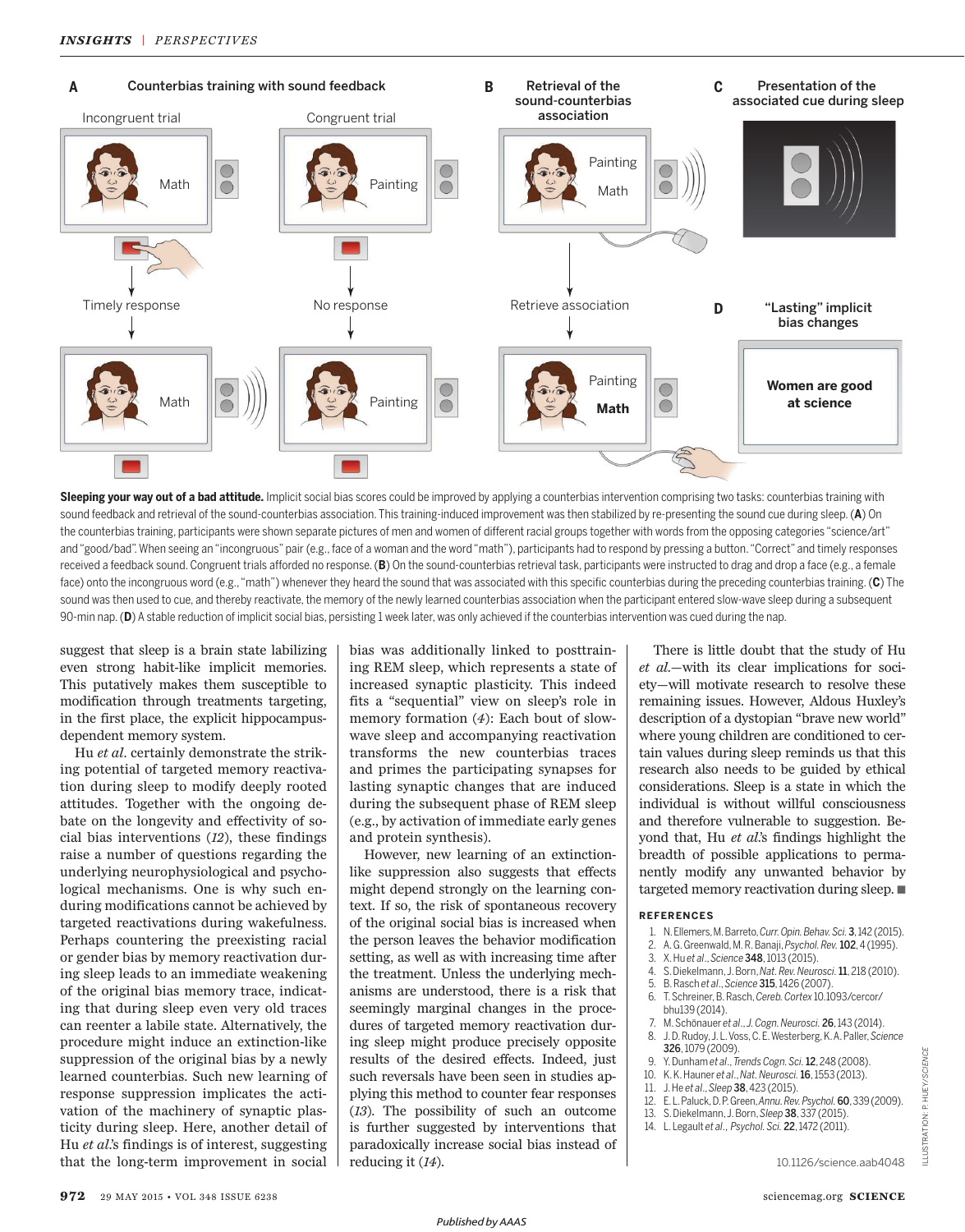

Sleeping your way out of a bad attitude. Implicit social bias scores could be improved by applying a counterbias intervention comprising two tasks: counterbias training with sound feedback and retrieval of the sound-counterbias association. This training-induced improvement was then stabilized by re-presenting the sound cue during sleep. (A) On the counterbias training, participants were shown separate pictures of men and women of different racial groups together with words from the opposing categories "science/art" and "good/bad". When seeing an "incongruous" pair (e.g., face of a woman and the word "math"), participants had to respond by pressing a button. "Correct" and timely responses received a feedback sound. Congruent trials afforded no response. (B) On the sound-counterbias retrieval task, participants were instructed to drag and drop a face (e.g., a female face) onto the incongruous word (e.g., "math") whenever they heard the sound that was associated with this specific counterbias during the preceding counterbias training. (**C**) The sound was then used to cue, and thereby reactivate, the memory of the newly learned counterbias association when the participant entered slow-wave sleep during a subsequent 90-min nap. (D) A stable reduction of implicit social bias, persisting 1 week later, was only achieved if the counterbias intervention was cued during the nap.

suggest that sleep is a brain state labilizing even strong habit-like implicit memories. This putatively makes them susceptible to modification through treatments targeting, in the first place, the explicit hippocampusdependent memory system.

Hu *et al*. certainly demonstrate the striking potential of targeted memory reactivation during sleep to modify deeply rooted attitudes. Together with the ongoing debate on the longevity and effectivity of social bias interventions ( *12*), these findings raise a number of questions regarding the underlying neurophysiological and psychological mechanisms. One is why such enduring modifications cannot be achieved by targeted reactivations during wakefulness. Perhaps countering the preexisting racial or gender bias by memory reactivation during sleep leads to an immediate weakening of the original bias memory trace, indicating that during sleep even very old traces can reenter a labile state. Alternatively, the procedure might induce an extinction-like suppression of the original bias by a newly learned counterbias. Such new learning of response suppression implicates the activation of the machinery of synaptic plasticity during sleep. Here, another detail of Hu *et al*.'s findings is of interest, suggesting that the long-term improvement in social bias was additionally linked to posttraining REM sleep, which represents a state of increased synaptic plasticity. This indeed fits a "sequential" view on sleep's role in memory formation (4): Each bout of slowwave sleep and accompanying reactivation transforms the new counterbias traces and primes the participating synapses for lasting synaptic changes that are induced during the subsequent phase of REM sleep (e.g., by activation of immediate early genes and protein synthesis).

However, new learning of an extinctionlike suppression also suggests that effects might depend strongly on the learning context. If so, the risk of spontaneous recovery of the original social bias is increased when the person leaves the behavior modification setting, as well as with increasing time after the treatment. Unless the underlying mechanisms are understood, there is a risk that seemingly marginal changes in the procedures of targeted memory reactivation during sleep might produce precisely opposite results of the desired effects. Indeed, just such reversals have been seen in studies applying this method to counter fear responses ( *13*). The possibility of such an outcome is further suggested by interventions that paradoxically increase social bias instead of reducing it  $(14)$ .

There is little doubt that the study of Hu *et al*.—with its clear implications for society—will motivate research to resolve these remaining issues. However, Aldous Huxley's description of a dystopian "brave new world" where young children are conditioned to certain values during sleep reminds us that this research also needs to be guided by ethical considerations. Sleep is a state in which the individual is without willful consciousness and therefore vulnerable to suggestion. Beyond that, Hu *et al*.'s findings highlight the breadth of possible applications to permanently modify any unwanted behavior by targeted memory reactivation during sleep. ■

#### **REFERENCES**

- 1. N. Ellemers, M. Barreto, *Curr. Opin. Behav. Sci.*3, 142 (2015).
- 2. A. G. Greenwald, M. R. Banaji, *Psychol. Rev.*102, 4 (1995).
- 3. X. Hu *et al*., *Science* 348, 1013 (2015).
- 4. S. Diekelmann, J. Born, *Nat. Rev. Neurosci.*11, 218 (2010).
- 5. B. Rasch *et al*., *Science* 315, 1426 (2007).
- 6. T. Schreiner, B. Rasch, *Cereb. Cortex* 10.1093/cercor/ bhu139 (2014).
- 7. M. Schönauer *et al*., *J. Cogn. Neurosci.* 26, 143 (2014). 8. J. D. Rudoy, J. L. Voss, C. E. Westerberg, K. A. Paller, *Science*
	- 326, 1079 (2009).
	- 9. Y. Dunham *et al*., *Trends Cogn. Sci.*12, 248 (2008).
	- 10. K. K. Hauner *et al*., *Nat. Neurosci.*16, 1553 (2013). 11. J. He *et al*., *Sleep* 38, 423 (2015).
	- 12. E. L. Paluck, D. P. Green, *Annu. Rev. Psychol.*60, 339 (2009).
	- 13. S. Diekelmann, J. Born, *Sleep* 38, 337 (2015).
	- 14. L. Legault *et al*., *Psychol. Sci.* 22, 1472 (2011).

ILLUSTRATION: P. HUEY/*SCIENCE*

ILLUSTRATION: P. HUEY/SCIENCE